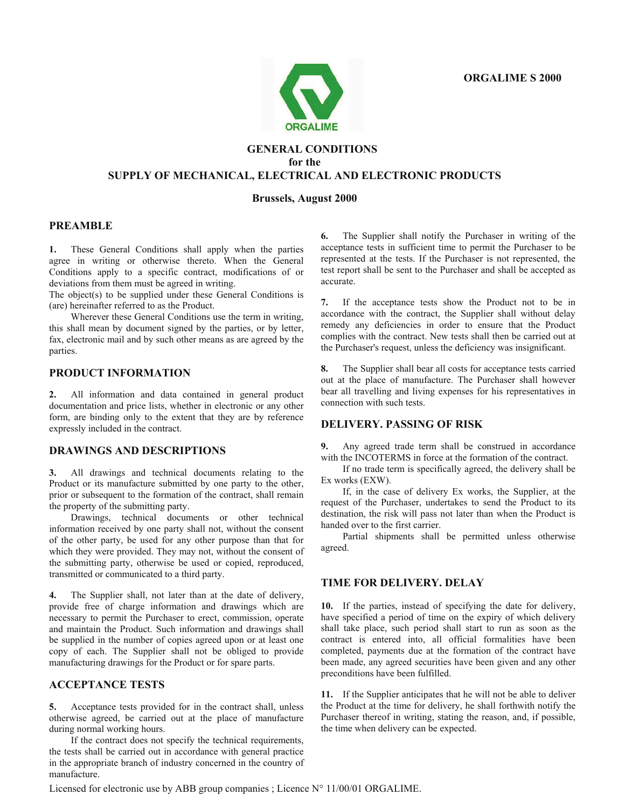**ORGALIME S 2000**



### **GENERAL CONDITIONS for the SUPPLY OF MECHANICAL, ELECTRICAL AND ELECTRONIC PRODUCTS**

#### **Brussels, August 2000**

### **PREAMBLE**

**1.** These General Conditions shall apply when the parties agree in writing or otherwise thereto. When the General Conditions apply to a specific contract, modifications of or deviations from them must be agreed in writing.

The object(s) to be supplied under these General Conditions is (are) hereinafter referred to as the Product.

Wherever these General Conditions use the term in writing, this shall mean by document signed by the parties, or by letter, fax, electronic mail and by such other means as are agreed by the parties.

### **PRODUCT INFORMATION**

**2.** All information and data contained in general product documentation and price lists, whether in electronic or any other form, are binding only to the extent that they are by reference expressly included in the contract.

## **DRAWINGS AND DESCRIPTIONS**

**3.** All drawings and technical documents relating to the Product or its manufacture submitted by one party to the other, prior or subsequent to the formation of the contract, shall remain the property of the submitting party.

Drawings, technical documents or other technical information received by one party shall not, without the consent of the other party, be used for any other purpose than that for which they were provided. They may not, without the consent of the submitting party, otherwise be used or copied, reproduced, transmitted or communicated to a third party.

**4.** The Supplier shall, not later than at the date of delivery, provide free of charge information and drawings which are necessary to permit the Purchaser to erect, commission, operate and maintain the Product. Such information and drawings shall be supplied in the number of copies agreed upon or at least one copy of each. The Supplier shall not be obliged to provide manufacturing drawings for the Product or for spare parts.

### **ACCEPTANCE TESTS**

**5.** Acceptance tests provided for in the contract shall, unless otherwise agreed, be carried out at the place of manufacture during normal working hours.

 If the contract does not specify the technical requirements, the tests shall be carried out in accordance with general practice in the appropriate branch of industry concerned in the country of manufacture.

**6.** The Supplier shall notify the Purchaser in writing of the acceptance tests in sufficient time to permit the Purchaser to be represented at the tests. If the Purchaser is not represented, the test report shall be sent to the Purchaser and shall be accepted as accurate.

**7.** If the acceptance tests show the Product not to be in accordance with the contract, the Supplier shall without delay remedy any deficiencies in order to ensure that the Product complies with the contract. New tests shall then be carried out at the Purchaser's request, unless the deficiency was insignificant.

**8.** The Supplier shall bear all costs for acceptance tests carried out at the place of manufacture. The Purchaser shall however bear all travelling and living expenses for his representatives in connection with such tests.

#### **DELIVERY. PASSING OF RISK**

**9.** Any agreed trade term shall be construed in accordance with the INCOTERMS in force at the formation of the contract.

If no trade term is specifically agreed, the delivery shall be Ex works (EXW).

If, in the case of delivery Ex works, the Supplier, at the request of the Purchaser, undertakes to send the Product to its destination, the risk will pass not later than when the Product is handed over to the first carrier.

Partial shipments shall be permitted unless otherwise agreed.

#### **TIME FOR DELIVERY. DELAY**

**10.** If the parties, instead of specifying the date for delivery, have specified a period of time on the expiry of which delivery shall take place, such period shall start to run as soon as the contract is entered into, all official formalities have been completed, payments due at the formation of the contract have been made, any agreed securities have been given and any other preconditions have been fulfilled.

**11.** If the Supplier anticipates that he will not be able to deliver the Product at the time for delivery, he shall forthwith notify the Purchaser thereof in writing, stating the reason, and, if possible, the time when delivery can be expected.

Licensed for electronic use by ABB group companies ; Licence  $N^{\circ}$  11/00/01 ORGALIME.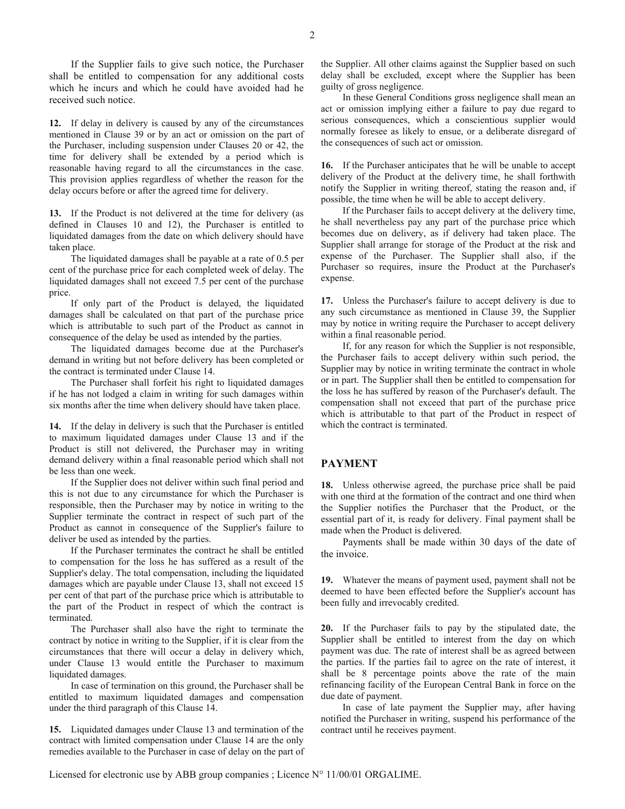If the Supplier fails to give such notice, the Purchaser shall be entitled to compensation for any additional costs which he incurs and which he could have avoided had he received such notice.

**12.** If delay in delivery is caused by any of the circumstances mentioned in Clause 39 or by an act or omission on the part of the Purchaser, including suspension under Clauses 20 or 42, the time for delivery shall be extended by a period which is reasonable having regard to all the circumstances in the case. This provision applies regardless of whether the reason for the delay occurs before or after the agreed time for delivery.

**13.** If the Product is not delivered at the time for delivery (as defined in Clauses 10 and 12), the Purchaser is entitled to liquidated damages from the date on which delivery should have taken place.

The liquidated damages shall be payable at a rate of 0.5 per cent of the purchase price for each completed week of delay. The liquidated damages shall not exceed 7.5 per cent of the purchase price.

If only part of the Product is delayed, the liquidated damages shall be calculated on that part of the purchase price which is attributable to such part of the Product as cannot in consequence of the delay be used as intended by the parties.

The liquidated damages become due at the Purchaser's demand in writing but not before delivery has been completed or the contract is terminated under Clause 14.

The Purchaser shall forfeit his right to liquidated damages if he has not lodged a claim in writing for such damages within six months after the time when delivery should have taken place.

**14.** If the delay in delivery is such that the Purchaser is entitled to maximum liquidated damages under Clause 13 and if the Product is still not delivered, the Purchaser may in writing demand delivery within a final reasonable period which shall not be less than one week.

If the Supplier does not deliver within such final period and this is not due to any circumstance for which the Purchaser is responsible, then the Purchaser may by notice in writing to the Supplier terminate the contract in respect of such part of the Product as cannot in consequence of the Supplier's failure to deliver be used as intended by the parties.

If the Purchaser terminates the contract he shall be entitled to compensation for the loss he has suffered as a result of the Supplier's delay. The total compensation, including the liquidated damages which are payable under Clause 13, shall not exceed 15 per cent of that part of the purchase price which is attributable to the part of the Product in respect of which the contract is terminated.

The Purchaser shall also have the right to terminate the contract by notice in writing to the Supplier, if it is clear from the circumstances that there will occur a delay in delivery which, under Clause 13 would entitle the Purchaser to maximum liquidated damages.

In case of termination on this ground, the Purchaser shall be entitled to maximum liquidated damages and compensation under the third paragraph of this Clause 14.

**15.** Liquidated damages under Clause 13 and termination of the contract with limited compensation under Clause 14 are the only remedies available to the Purchaser in case of delay on the part of the Supplier. All other claims against the Supplier based on such delay shall be excluded, except where the Supplier has been guilty of gross negligence.

In these General Conditions gross negligence shall mean an act or omission implying either a failure to pay due regard to serious consequences, which a conscientious supplier would normally foresee as likely to ensue, or a deliberate disregard of the consequences of such act or omission.

**16.** If the Purchaser anticipates that he will be unable to accept delivery of the Product at the delivery time, he shall forthwith notify the Supplier in writing thereof, stating the reason and, if possible, the time when he will be able to accept delivery.

If the Purchaser fails to accept delivery at the delivery time, he shall nevertheless pay any part of the purchase price which becomes due on delivery, as if delivery had taken place. The Supplier shall arrange for storage of the Product at the risk and expense of the Purchaser. The Supplier shall also, if the Purchaser so requires, insure the Product at the Purchaser's expense.

**17.** Unless the Purchaser's failure to accept delivery is due to any such circumstance as mentioned in Clause 39, the Supplier may by notice in writing require the Purchaser to accept delivery within a final reasonable period.

If, for any reason for which the Supplier is not responsible, the Purchaser fails to accept delivery within such period, the Supplier may by notice in writing terminate the contract in whole or in part. The Supplier shall then be entitled to compensation for the loss he has suffered by reason of the Purchaser's default. The compensation shall not exceed that part of the purchase price which is attributable to that part of the Product in respect of which the contract is terminated.

### **PAYMENT**

**18.** Unless otherwise agreed, the purchase price shall be paid with one third at the formation of the contract and one third when the Supplier notifies the Purchaser that the Product, or the essential part of it, is ready for delivery. Final payment shall be made when the Product is delivered.

Payments shall be made within 30 days of the date of the invoice.

**19.** Whatever the means of payment used, payment shall not be deemed to have been effected before the Supplier's account has been fully and irrevocably credited.

**20.** If the Purchaser fails to pay by the stipulated date, the Supplier shall be entitled to interest from the day on which payment was due. The rate of interest shall be as agreed between the parties. If the parties fail to agree on the rate of interest, it shall be 8 percentage points above the rate of the main refinancing facility of the European Central Bank in force on the due date of payment.

In case of late payment the Supplier may, after having notified the Purchaser in writing, suspend his performance of the contract until he receives payment.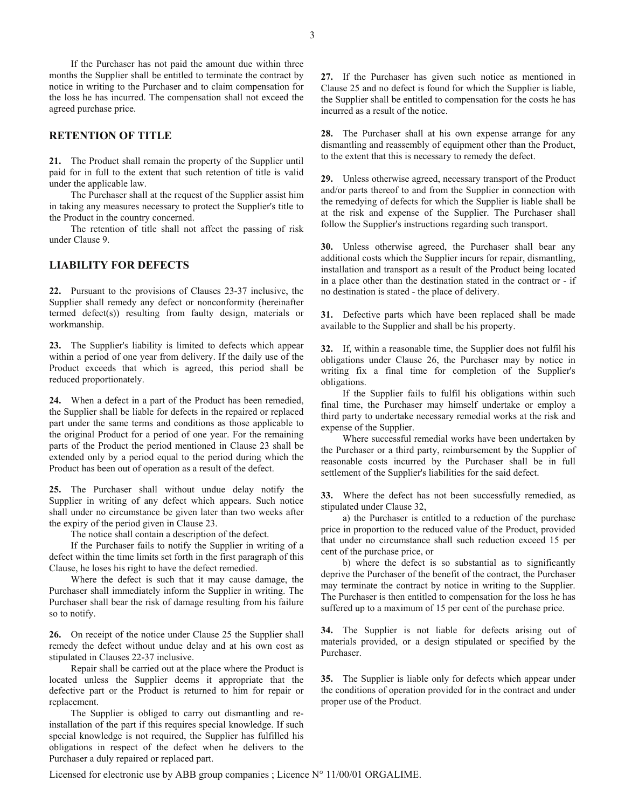If the Purchaser has not paid the amount due within three months the Supplier shall be entitled to terminate the contract by notice in writing to the Purchaser and to claim compensation for the loss he has incurred. The compensation shall not exceed the agreed purchase price.

#### **RETENTION OF TITLE**

**21.** The Product shall remain the property of the Supplier until paid for in full to the extent that such retention of title is valid under the applicable law.

The Purchaser shall at the request of the Supplier assist him in taking any measures necessary to protect the Supplier's title to the Product in the country concerned.

The retention of title shall not affect the passing of risk under Clause 9.

### **LIABILITY FOR DEFECTS**

**22.** Pursuant to the provisions of Clauses 23-37 inclusive, the Supplier shall remedy any defect or nonconformity (hereinafter termed defect(s)) resulting from faulty design, materials or workmanship.

**23.** The Supplier's liability is limited to defects which appear within a period of one year from delivery. If the daily use of the Product exceeds that which is agreed, this period shall be reduced proportionately.

**24.** When a defect in a part of the Product has been remedied, the Supplier shall be liable for defects in the repaired or replaced part under the same terms and conditions as those applicable to the original Product for a period of one year. For the remaining parts of the Product the period mentioned in Clause 23 shall be extended only by a period equal to the period during which the Product has been out of operation as a result of the defect.

**25.** The Purchaser shall without undue delay notify the Supplier in writing of any defect which appears. Such notice shall under no circumstance be given later than two weeks after the expiry of the period given in Clause 23.

The notice shall contain a description of the defect.

If the Purchaser fails to notify the Supplier in writing of a defect within the time limits set forth in the first paragraph of this Clause, he loses his right to have the defect remedied.

Where the defect is such that it may cause damage, the Purchaser shall immediately inform the Supplier in writing. The Purchaser shall bear the risk of damage resulting from his failure so to notify.

**26.** On receipt of the notice under Clause 25 the Supplier shall remedy the defect without undue delay and at his own cost as stipulated in Clauses 22-37 inclusive.

Repair shall be carried out at the place where the Product is located unless the Supplier deems it appropriate that the defective part or the Product is returned to him for repair or replacement.

The Supplier is obliged to carry out dismantling and reinstallation of the part if this requires special knowledge. If such special knowledge is not required, the Supplier has fulfilled his obligations in respect of the defect when he delivers to the Purchaser a duly repaired or replaced part.

**27.** If the Purchaser has given such notice as mentioned in Clause 25 and no defect is found for which the Supplier is liable, the Supplier shall be entitled to compensation for the costs he has incurred as a result of the notice.

**28.** The Purchaser shall at his own expense arrange for any dismantling and reassembly of equipment other than the Product, to the extent that this is necessary to remedy the defect.

**29.** Unless otherwise agreed, necessary transport of the Product and/or parts thereof to and from the Supplier in connection with the remedying of defects for which the Supplier is liable shall be at the risk and expense of the Supplier. The Purchaser shall follow the Supplier's instructions regarding such transport.

**30.** Unless otherwise agreed, the Purchaser shall bear any additional costs which the Supplier incurs for repair, dismantling, installation and transport as a result of the Product being located in a place other than the destination stated in the contract or - if no destination is stated - the place of delivery.

**31.** Defective parts which have been replaced shall be made available to the Supplier and shall be his property.

**32.** If, within a reasonable time, the Supplier does not fulfil his obligations under Clause 26, the Purchaser may by notice in writing fix a final time for completion of the Supplier's obligations.

If the Supplier fails to fulfil his obligations within such final time, the Purchaser may himself undertake or employ a third party to undertake necessary remedial works at the risk and expense of the Supplier.

Where successful remedial works have been undertaken by the Purchaser or a third party, reimbursement by the Supplier of reasonable costs incurred by the Purchaser shall be in full settlement of the Supplier's liabilities for the said defect.

**33.** Where the defect has not been successfully remedied, as stipulated under Clause 32,

a) the Purchaser is entitled to a reduction of the purchase price in proportion to the reduced value of the Product, provided that under no circumstance shall such reduction exceed 15 per cent of the purchase price, or

b) where the defect is so substantial as to significantly deprive the Purchaser of the benefit of the contract, the Purchaser may terminate the contract by notice in writing to the Supplier. The Purchaser is then entitled to compensation for the loss he has suffered up to a maximum of 15 per cent of the purchase price.

**34.** The Supplier is not liable for defects arising out of materials provided, or a design stipulated or specified by the Purchaser.

**35.** The Supplier is liable only for defects which appear under the conditions of operation provided for in the contract and under proper use of the Product.

Licensed for electronic use by ABB group companies ; Licence N° 11/00/01 ORGALIME.